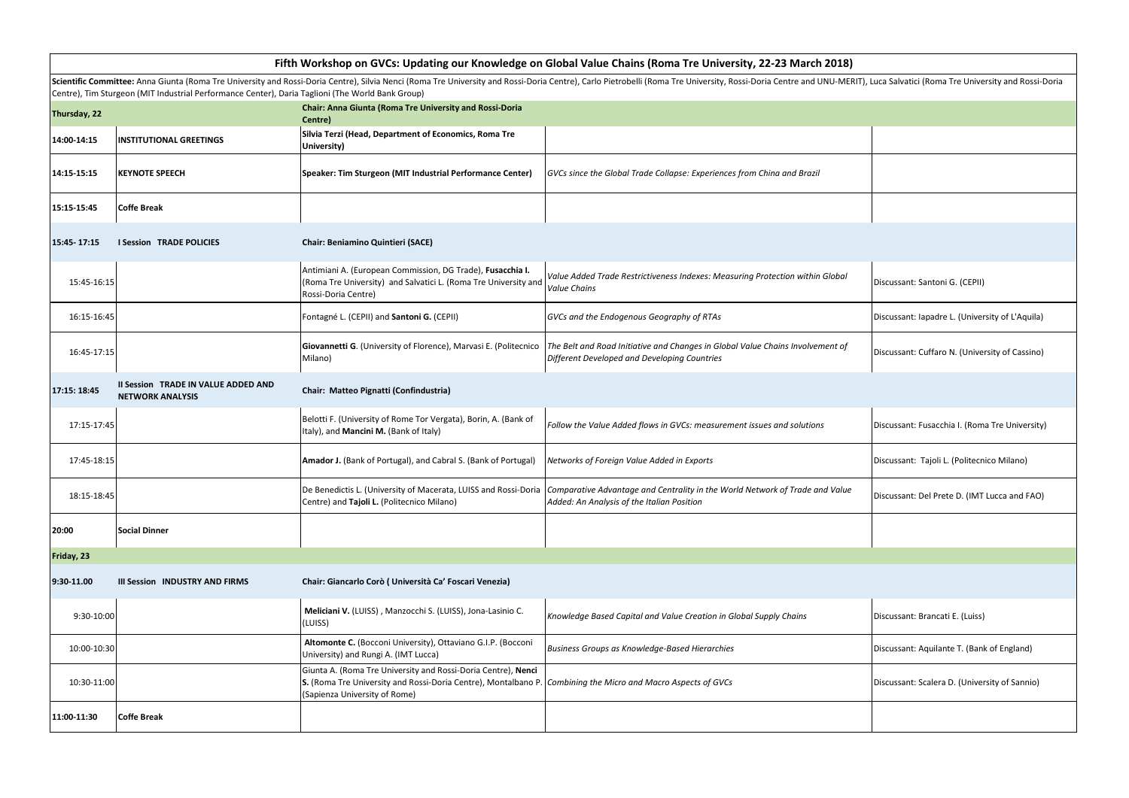| Fifth Workshop on GVCs: Updating our Knowledge on Global Value Chains (Roma Tre University, 22-23 March 2018)                                                                                                                                                                                                                     |                                                                |                                                                                                                                                                  |                                                                                                                                |                                                 |  |  |  |  |
|-----------------------------------------------------------------------------------------------------------------------------------------------------------------------------------------------------------------------------------------------------------------------------------------------------------------------------------|----------------------------------------------------------------|------------------------------------------------------------------------------------------------------------------------------------------------------------------|--------------------------------------------------------------------------------------------------------------------------------|-------------------------------------------------|--|--|--|--|
| Scientific Committee: Anna Giunta (Roma Tre University and Rossi-Doria Centre), Silvia Nenci (Roma Tre University and Rossi-Doria Centre) (Sulvia Nenci (Roma Tre University and Rossi-Doria Centre), Carlo Pietrobelli (Roma<br>Centre), Tim Sturgeon (MIT Industrial Performance Center), Daria Taglioni (The World Bank Group) |                                                                |                                                                                                                                                                  |                                                                                                                                |                                                 |  |  |  |  |
| Thursday, 22                                                                                                                                                                                                                                                                                                                      |                                                                | Chair: Anna Giunta (Roma Tre University and Rossi-Doria<br>Centre)                                                                                               |                                                                                                                                |                                                 |  |  |  |  |
| 14:00-14:15                                                                                                                                                                                                                                                                                                                       | <b>INSTITUTIONAL GREETINGS</b>                                 | Silvia Terzi (Head, Department of Economics, Roma Tre<br>University)                                                                                             |                                                                                                                                |                                                 |  |  |  |  |
| 14:15-15:15                                                                                                                                                                                                                                                                                                                       | <b>KEYNOTE SPEECH</b>                                          | Speaker: Tim Sturgeon (MIT Industrial Performance Center)                                                                                                        | GVCs since the Global Trade Collapse: Experiences from China and Brazil                                                        |                                                 |  |  |  |  |
| 15:15-15:45                                                                                                                                                                                                                                                                                                                       | <b>Coffe Break</b>                                             |                                                                                                                                                                  |                                                                                                                                |                                                 |  |  |  |  |
| 15:45-17:15                                                                                                                                                                                                                                                                                                                       | <b>I Session TRADE POLICIES</b>                                | Chair: Beniamino Quintieri (SACE)                                                                                                                                |                                                                                                                                |                                                 |  |  |  |  |
| 15:45-16:15                                                                                                                                                                                                                                                                                                                       |                                                                | Antimiani A. (European Commission, DG Trade), Fusacchia I.<br>(Roma Tre University) and Salvatici L. (Roma Tre University and<br>Rossi-Doria Centre)             | Value Added Trade Restrictiveness Indexes: Measuring Protection within Global<br>Value Chains                                  | Discussant: Santoni G. (CEPII)                  |  |  |  |  |
| 16:15-16:45                                                                                                                                                                                                                                                                                                                       |                                                                | Fontagné L. (CEPII) and Santoni G. (CEPII)                                                                                                                       | GVCs and the Endogenous Geography of RTAs                                                                                      | Discussant: Iapadre L. (University of L'Aquila) |  |  |  |  |
| 16:45-17:15                                                                                                                                                                                                                                                                                                                       |                                                                | Giovannetti G. (University of Florence), Marvasi E. (Politecnico<br>Milano)                                                                                      | The Belt and Road Initiative and Changes in Global Value Chains Involvement of<br>Different Developed and Developing Countries | Discussant: Cuffaro N. (University of Cassino)  |  |  |  |  |
| 17:15: 18:45                                                                                                                                                                                                                                                                                                                      | Il Session TRADE IN VALUE ADDED AND<br><b>NETWORK ANALYSIS</b> | Chair: Matteo Pignatti (Confindustria)                                                                                                                           |                                                                                                                                |                                                 |  |  |  |  |
| 17:15-17:45                                                                                                                                                                                                                                                                                                                       |                                                                | Belotti F. (University of Rome Tor Vergata), Borin, A. (Bank of<br>Italy), and Mancini M. (Bank of Italy)                                                        | Follow the Value Added flows in GVCs: measurement issues and solutions                                                         | Discussant: Fusacchia I. (Roma Tre University)  |  |  |  |  |
| 17:45-18:15                                                                                                                                                                                                                                                                                                                       |                                                                | Amador J. (Bank of Portugal), and Cabral S. (Bank of Portugal)                                                                                                   | Networks of Foreign Value Added in Exports                                                                                     | Discussant: Tajoli L. (Politecnico Milano)      |  |  |  |  |
| 18:15-18:45                                                                                                                                                                                                                                                                                                                       |                                                                | De Benedictis L. (University of Macerata, LUISS and Rossi-Doria<br>Centre) and Tajoli L. (Politecnico Milano)                                                    | Comparative Advantage and Centrality in the World Network of Trade and Value<br>Added: An Analysis of the Italian Position     | Discussant: Del Prete D. (IMT Lucca and FAO)    |  |  |  |  |
| 20:00                                                                                                                                                                                                                                                                                                                             | <b>Social Dinner</b>                                           |                                                                                                                                                                  |                                                                                                                                |                                                 |  |  |  |  |
| Friday, 23                                                                                                                                                                                                                                                                                                                        |                                                                |                                                                                                                                                                  |                                                                                                                                |                                                 |  |  |  |  |
| 9:30-11.00                                                                                                                                                                                                                                                                                                                        | III Session INDUSTRY AND FIRMS                                 | Chair: Giancarlo Corò ( Università Ca' Foscari Venezia)                                                                                                          |                                                                                                                                |                                                 |  |  |  |  |
| 9:30-10:00                                                                                                                                                                                                                                                                                                                        |                                                                | Meliciani V. (LUISS), Manzocchi S. (LUISS), Jona-Lasinio C.<br>(LUISS)                                                                                           | Knowledge Based Capital and Value Creation in Global Supply Chains                                                             | Discussant: Brancati E. (Luiss)                 |  |  |  |  |
| 10:00-10:30                                                                                                                                                                                                                                                                                                                       |                                                                | Altomonte C. (Bocconi University), Ottaviano G.I.P. (Bocconi<br>University) and Rungi A. (IMT Lucca)                                                             | Business Groups as Knowledge-Based Hierarchies                                                                                 | Discussant: Aquilante T. (Bank of England)      |  |  |  |  |
| 10:30-11:00                                                                                                                                                                                                                                                                                                                       |                                                                | Giunta A. (Roma Tre University and Rossi-Doria Centre), Nenci<br>S. (Roma Tre University and Rossi-Doria Centre), Montalbano P.<br>(Sapienza University of Rome) | Combining the Micro and Macro Aspects of GVCs                                                                                  | Discussant: Scalera D. (University of Sannio)   |  |  |  |  |
| 11:00-11:30                                                                                                                                                                                                                                                                                                                       | <b>Coffe Break</b>                                             |                                                                                                                                                                  |                                                                                                                                |                                                 |  |  |  |  |